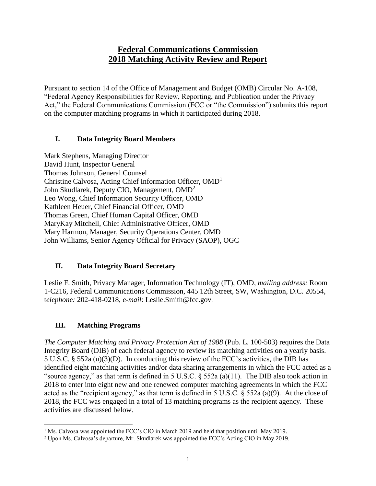# **Federal Communications Commission 2018 Matching Activity Review and Report**

Pursuant to section 14 of the Office of Management and Budget (OMB) Circular No. A-108, "Federal Agency Responsibilities for Review, Reporting, and Publication under the Privacy Act," the Federal Communications Commission (FCC or "the Commission") submits this report on the computer matching programs in which it participated during 2018.

#### **I. Data Integrity Board Members**

Mark Stephens, Managing Director David Hunt, Inspector General Thomas Johnson, General Counsel Christine Calvosa, Acting Chief Information Officer, OMD<sup>1</sup> John Skudlarek, Deputy CIO, Management, OMD<sup>2</sup> Leo Wong, Chief Information Security Officer, OMD Kathleen Heuer, Chief Financial Officer, OMD Thomas Green, Chief Human Capital Officer, OMD MaryKay Mitchell, Chief Administrative Officer, OMD Mary Harmon, Manager, Security Operations Center, OMD John Williams, Senior Agency Official for Privacy (SAOP), OGC

#### **II. Data Integrity Board Secretary**

Leslie F. Smith, Privacy Manager, Information Technology (IT), OMD, *mailing address:* Room 1-C216, Federal Communications Commission, 445 12th Street, SW, Washington, D.C. 20554, t*elephone:* 202-418-0218, *e-mail*: Leslie.Smith@fcc.gov.

#### **III. Matching Programs**

 $\overline{a}$ 

*The Computer Matching and Privacy Protection Act of 1988* (Pub. L. 100-503) requires the Data Integrity Board (DIB) of each federal agency to review its matching activities on a yearly basis. 5 U.S.C. § 552a (u)(3)(D). In conducting this review of the FCC's activities, the DIB has identified eight matching activities and/or data sharing arrangements in which the FCC acted as a "source agency," as that term is defined in 5 U.S.C. § 552a (a)(11). The DIB also took action in 2018 to enter into eight new and one renewed computer matching agreements in which the FCC acted as the "recipient agency," as that term is defined in 5 U.S.C. § 552a (a)(9). At the close of 2018, the FCC was engaged in a total of 13 matching programs as the recipient agency. These activities are discussed below.

<sup>&</sup>lt;sup>1</sup> Ms. Calvosa was appointed the FCC's CIO in March 2019 and held that position until May 2019.

<sup>2</sup> Upon Ms. Calvosa's departure, Mr. Skudlarek was appointed the FCC's Acting CIO in May 2019.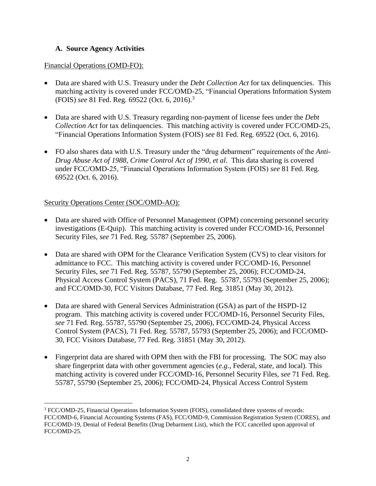#### **A. Source Agency Activities**

#### Financial Operations (OMD-FO):

- Data are shared with U.S. Treasury under the *Debt Collection Act* for tax delinguencies. This matching activity is covered under FCC/OMD-25, "Financial Operations Information System (FOIS) *see* 81 Fed. Reg. 69522 (Oct. 6, 2016).<sup>3</sup>
- Data are shared with U.S. Treasury regarding non-payment of license fees under the *Debt Collection Act* for tax delinquencies. This matching activity is covered under FCC/OMD-25, "Financial Operations Information System (FOIS) *see* 81 Fed. Reg. 69522 (Oct. 6, 2016).
- FO also shares data with U.S. Treasury under the "drug debarment" requirements of the *Anti-Drug Abuse Act of 1988*, *Crime Control Act of 1990*, *et al*. This data sharing is covered under FCC/OMD-25, "Financial Operations Information System (FOIS) *see* 81 Fed. Reg. 69522 (Oct. 6, 2016).

#### Security Operations Center (SOC/OMD-AO):

 $\overline{a}$ 

- Data are shared with Office of Personnel Management (OPM) concerning personnel security investigations (E-Quip). This matching activity is covered under FCC/OMD-16, Personnel Security Files, *see* 71 Fed. Reg. 55787 (September 25, 2006).
- Data are shared with OPM for the Clearance Verification System (CVS) to clear visitors for admittance to FCC. This matching activity is covered under FCC/OMD-16, Personnel Security Files, *see* 71 Fed. Reg. 55787, 55790 (September 25, 2006); FCC/OMD-24, Physical Access Control System (PACS), 71 Fed. Reg. 55787, 55793 (September 25, 2006); and FCC/OMD-30, FCC Visitors Database, 77 Fed. Reg. 31851 (May 30, 2012).
- Data are shared with General Services Administration (GSA) as part of the HSPD-12 program. This matching activity is covered under FCC/OMD-16, Personnel Security Files, *see* 71 Fed. Reg. 55787, 55790 (September 25, 2006), FCC/OMD-24, Physical Access Control System (PACS), 71 Fed. Reg. 55787, 55793 (September 25, 2006); and FCC/OMD-30, FCC Visitors Database, 77 Fed. Reg. 31851 (May 30, 2012).
- Fingerprint data are shared with OPM then with the FBI for processing. The SOC may also share fingerprint data with other government agencies (*e.g*., Federal, state, and local). This matching activity is covered under FCC/OMD-16, Personnel Security Files, *see* 71 Fed. Reg. 55787, 55790 (September 25, 2006); FCC/OMD-24, Physical Access Control System

<sup>3</sup> FCC/OMD-25, Financial Operations Information System (FOIS), consolidated three systems of records: FCC/OMD-6, Financial Accounting Systems (FAS), FCC/OMD-9, Commission Registration System (CORES), and FCC/OMD-19, Denial of Federal Benefits (Drug Debarment List), which the FCC cancelled upon approval of FCC/OMD-25.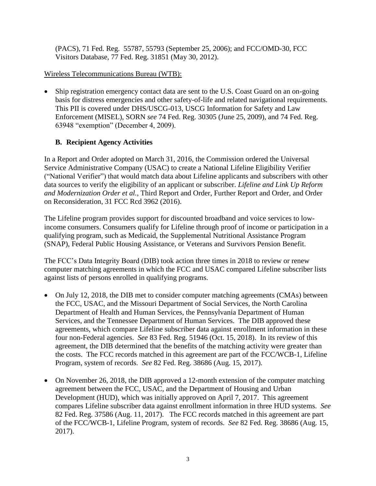(PACS), 71 Fed. Reg. 55787, 55793 (September 25, 2006); and FCC/OMD-30, FCC Visitors Database, 77 Fed. Reg. 31851 (May 30, 2012).

### Wireless Telecommunications Bureau (WTB):

• Ship registration emergency contact data are sent to the U.S. Coast Guard on an on-going basis for distress emergencies and other safety-of-life and related navigational requirements. This PII is covered under DHS/USCG-013, USCG Information for Safety and Law Enforcement (MISEL), SORN *see* 74 Fed. Reg. 30305 (June 25, 2009), and 74 Fed. Reg. 63948 "exemption" (December 4, 2009).

## **B. Recipient Agency Activities**

In a Report and Order adopted on March 31, 2016, the Commission ordered the Universal Service Administrative Company (USAC) to create a National Lifeline Eligibility Verifier ("National Verifier") that would match data about Lifeline applicants and subscribers with other data sources to verify the eligibility of an applicant or subscriber. *Lifeline and Link Up Reform and Modernization Order et al.*, Third Report and Order, Further Report and Order, and Order on Reconsideration, 31 FCC Rcd 3962 (2016).

The Lifeline program provides support for discounted broadband and voice services to lowincome consumers. Consumers qualify for Lifeline through proof of income or participation in a qualifying program, such as Medicaid, the Supplemental Nutritional Assistance Program (SNAP), Federal Public Housing Assistance, or Veterans and Survivors Pension Benefit.

The FCC's Data Integrity Board (DIB) took action three times in 2018 to review or renew computer matching agreements in which the FCC and USAC compared Lifeline subscriber lists against lists of persons enrolled in qualifying programs.

- On July 12, 2018, the DIB met to consider computer matching agreements (CMAs) between the FCC, USAC, and the Missouri Department of Social Services, the North Carolina Department of Health and Human Services, the Pennsylvania Department of Human Services, and the Tennessee Department of Human Services. The DIB approved these agreements, which compare Lifeline subscriber data against enrollment information in these four non-Federal agencies. *See* 83 Fed. Reg. 51946 (Oct. 15, 2018). In its review of this agreement, the DIB determined that the benefits of the matching activity were greater than the costs. The FCC records matched in this agreement are part of the FCC/WCB-1, Lifeline Program, system of records. *See* 82 Fed. Reg. 38686 (Aug. 15, 2017).
- On November 26, 2018, the DIB approved a 12-month extension of the computer matching agreement between the FCC, USAC, and the Department of Housing and Urban Development (HUD), which was initially approved on April 7, 2017. This agreement compares Lifeline subscriber data against enrollment information in three HUD systems. *See* 82 Fed. Reg. 37586 (Aug. 11, 2017). The FCC records matched in this agreement are part of the FCC/WCB-1, Lifeline Program, system of records. *See* 82 Fed. Reg. 38686 (Aug. 15, 2017).